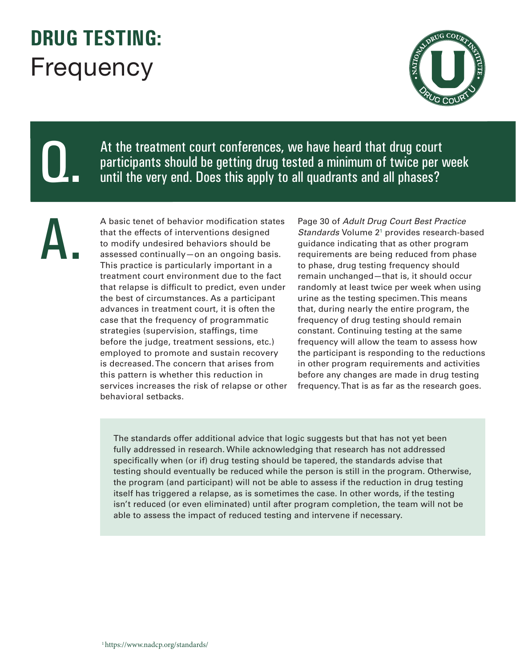## **DRUG TESTING:**  Frequency



Q.

At the treatment court conferences, we have heard that drug court participants should be getting drug tested a minimum of twice per week until the very end. Does this apply to all quadrants and all phases?

A.

A basic tenet of behavior modification states that the effects of interventions designed to modify undesired behaviors should be assessed continually—on an ongoing basis. This practice is particularly important in a treatment court environment due to the fact that relapse is difficult to predict, even under the best of circumstances. As a participant advances in treatment court, it is often the case that the frequency of programmatic strategies (supervision, staffings, time before the judge, treatment sessions, etc.) employed to promote and sustain recovery is decreased. The concern that arises from this pattern is whether this reduction in services increases the risk of relapse or other behavioral setbacks.

Page 30 of *Adult Drug Court Best Practice*  Standards Volume 2<sup>1</sup> provides research-based guidance indicating that as other program requirements are being reduced from phase to phase, drug testing frequency should remain unchanged—that is, it should occur randomly at least twice per week when using urine as the testing specimen. This means that, during nearly the entire program, the frequency of drug testing should remain constant. Continuing testing at the same frequency will allow the team to assess how the participant is responding to the reductions in other program requirements and activities before any changes are made in drug testing frequency. That is as far as the research goes.

The standards offer additional advice that logic suggests but that has not yet been fully addressed in research. While acknowledging that research has not addressed specifically when (or if) drug testing should be tapered, the standards advise that testing should eventually be reduced while the person is still in the program. Otherwise, the program (and participant) will not be able to assess if the reduction in drug testing itself has triggered a relapse, as is sometimes the case. In other words, if the testing isn't reduced (or even eliminated) until after program completion, the team will not be able to assess the impact of reduced testing and intervene if necessary.